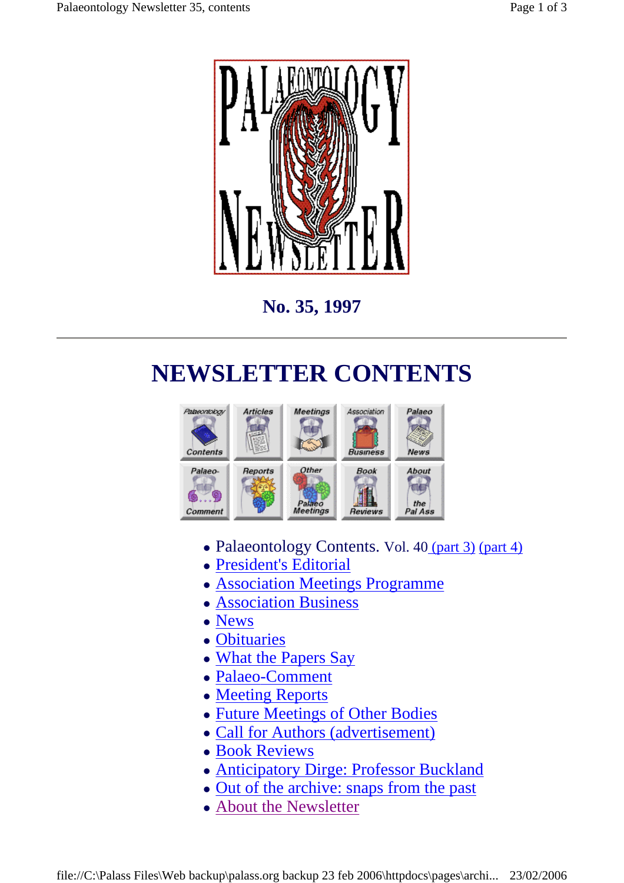

**No. 35, 1997** 

# **NEWSLETTER CONTENTS**



- Palaeontology Contents. Vol. 40 (part 3) (part 4)
- President's Editorial
- Association Meetings Programme
- Association Business
- News
- Obituaries
- What the Papers Say
- Palaeo-Comment
- Meeting Reports
- Future Meetings of Other Bodies
- Call for Authors (advertisement)
- Book Reviews
- Anticipatory Dirge: Professor Buckland
- Out of the archive: snaps from the past
- About the Newsletter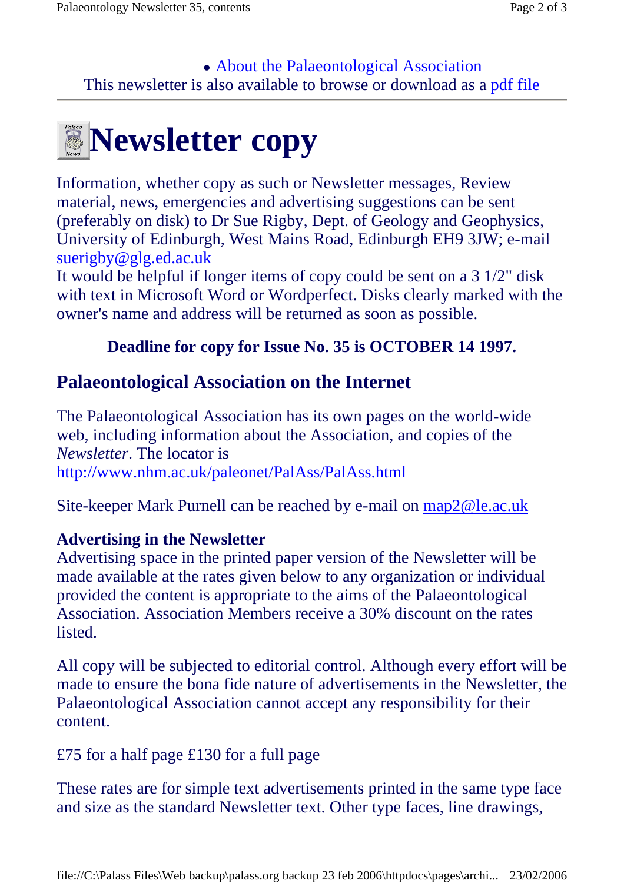This newsletter is also available to browse or download as a pdf file • About the Palaeontological Association



Information, whether copy as such or Newsletter messages, Review material, news, emergencies and advertising suggestions can be sent (preferably on disk) to Dr Sue Rigby, Dept. of Geology and Geophysics, University of Edinburgh, West Mains Road, Edinburgh EH9 3JW; e-mail suerigby@glg.ed.ac.uk

It would be helpful if longer items of copy could be sent on a 3 1/2" disk with text in Microsoft Word or Wordperfect. Disks clearly marked with the owner's name and address will be returned as soon as possible.

### **Deadline for copy for Issue No. 35 is OCTOBER 14 1997.**

# **Palaeontological Association on the Internet**

The Palaeontological Association has its own pages on the world-wide web, including information about the Association, and copies of the *Newsletter*. The locator is http://www.nhm.ac.uk/paleonet/PalAss/PalAss.html

Site-keeper Mark Purnell can be reached by e-mail on map2@le.ac.uk

#### **Advertising in the Newsletter**

Advertising space in the printed paper version of the Newsletter will be made available at the rates given below to any organization or individual provided the content is appropriate to the aims of the Palaeontological Association. Association Members receive a 30% discount on the rates listed.

All copy will be subjected to editorial control. Although every effort will be made to ensure the bona fide nature of advertisements in the Newsletter, the Palaeontological Association cannot accept any responsibility for their content.

£75 for a half page £130 for a full page

These rates are for simple text advertisements printed in the same type face and size as the standard Newsletter text. Other type faces, line drawings,